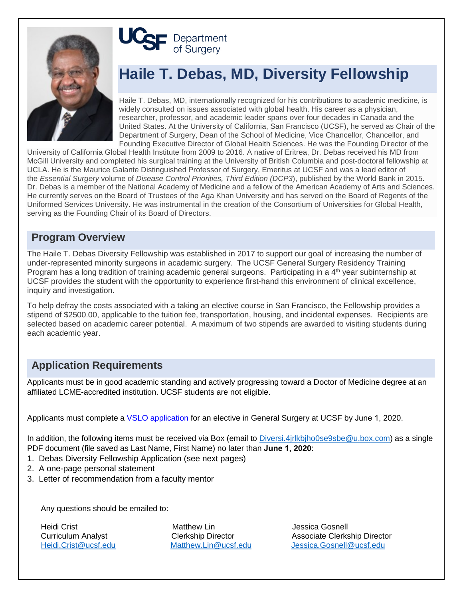

# **UCSF** Department

# **Haile T. Debas, MD, Diversity Fellowship**

Haile T. Debas, MD, internationally recognized for his contributions to academic medicine, is widely consulted on issues associated with global health. His career as a physician, researcher, professor, and academic leader spans over four decades in Canada and the United States. At the University of California, San Francisco (UCSF), he served as Chair of the Department of Surgery, Dean of the School of Medicine, Vice Chancellor, Chancellor, and Founding Executive Director of Global Health Sciences. He was the Founding Director of the

University of California Global Health Institute from 2009 to 2016. A native of Eritrea, Dr. Debas received his MD from McGill University and completed his surgical training at the University of British Columbia and post-doctoral fellowship at UCLA. He is the Maurice Galante Distinguished Professor of Surgery, Emeritus at UCSF and was a lead editor of the *Essential Surgery* volume of *Disease Control Priorities, Third Edition (DCP3*), published by the World Bank in 2015. Dr. Debas is a member of the National Academy of Medicine and a fellow of the American Academy of Arts and Sciences. He currently serves on the Board of Trustees of the Aga Khan University and has served on the Board of Regents of the Uniformed Services University. He was instrumental in the creation of the Consortium of Universities for Global Health, serving as the Founding Chair of its Board of Directors.

## **Program Overview**

The Haile T. Debas Diversity Fellowship was established in 2017 to support our goal of increasing the number of under-represented minority surgeons in academic surgery. The UCSF General Surgery Residency Training Program has a long tradition of training academic general surgeons. Participating in a 4<sup>th</sup> year subinternship at UCSF provides the student with the opportunity to experience first-hand this environment of clinical excellence, inquiry and investigation.

To help defray the costs associated with a taking an elective course in San Francisco, the Fellowship provides a stipend of \$2500.00, applicable to the tuition fee, transportation, housing, and incidental expenses. Recipients are selected based on academic career potential. A maximum of two stipends are awarded to visiting students during each academic year.

# **Application Requirements**

Applicants must be in good academic standing and actively progressing toward a Doctor of Medicine degree at an affiliated LCME-accredited institution. UCSF students are not eligible.

Applicants must complete a VSLO application for an elective in General Surgery at UCSF by June 1, 2020.

In addition, the following items must be received via Box (email to Diversi.4jrlkbjho0se9sbe@u.box.com) as a single PDF document (file saved as Last Name, First Name) no later than **June 1, 2020**:

- 1. Debas Diversity Fellowship Application (see next pages)
- 2. A one-page personal statement
- 3. Letter of recommendation from a faculty mentor

Any questions should be emailed to:

Heidi Crist **Matthew Lin** Matthew Lin and Dessica Gosnell<br>Curriculum Analyst **Clerkship Director** Associate Clerks

Associate Clerkship Director Heidi.Crist@ucsf.edu Matthew.Lin@ucsf.edu Jessica.Gosnell@ucsf.edu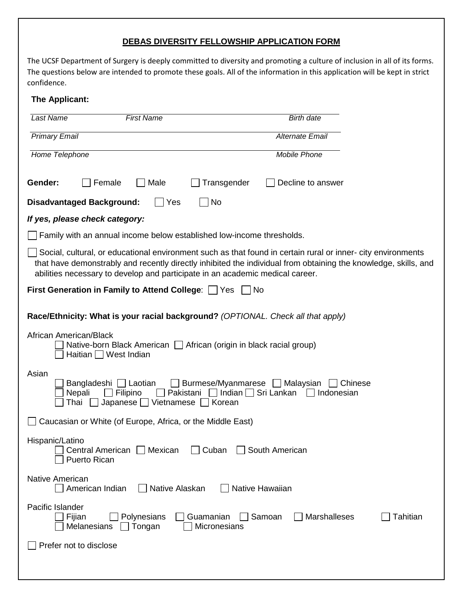### **DEBAS DIVERSITY FELLOWSHIP APPLICATION FORM**

The UCSF Department of Surgery is deeply committed to diversity and promoting a culture of inclusion in all of its forms. The questions below are intended to promote these goals. All of the information in this application will be kept in strict confidence.

#### **The Applicant:**

| <b>Last Name</b><br><b>First Name</b>                                                                                                                                                                                                                                                                           | <b>Birth date</b>                         |
|-----------------------------------------------------------------------------------------------------------------------------------------------------------------------------------------------------------------------------------------------------------------------------------------------------------------|-------------------------------------------|
| <b>Primary Email</b>                                                                                                                                                                                                                                                                                            | <b>Alternate Email</b>                    |
| Home Telephone                                                                                                                                                                                                                                                                                                  | <b>Mobile Phone</b>                       |
| Transgender<br>Gender:<br>Female<br>Male                                                                                                                                                                                                                                                                        | Decline to answer                         |
| No<br><b>Disadvantaged Background:</b><br>Yes                                                                                                                                                                                                                                                                   |                                           |
| If yes, please check category:                                                                                                                                                                                                                                                                                  |                                           |
| Family with an annual income below established low-income thresholds.                                                                                                                                                                                                                                           |                                           |
| Social, cultural, or educational environment such as that found in certain rural or inner-city environments<br>that have demonstrably and recently directly inhibited the individual from obtaining the knowledge, skills, and<br>abilities necessary to develop and participate in an academic medical career. |                                           |
| <b>First Generation in Family to Attend College:</b>   Yes<br>No.                                                                                                                                                                                                                                               |                                           |
| Race/Ethnicity: What is your racial background? (OPTIONAL. Check all that apply)                                                                                                                                                                                                                                |                                           |
| African American/Black<br>Native-born Black American   African (origin in black racial group)<br>Haitian West Indian                                                                                                                                                                                            |                                           |
| Asian<br>Burmese/Myanmarese<br>Laotian<br><b>_∣ Malaysian</b><br>Chinese<br>Bangladeshi<br>Pakistani<br>Indian $\Box$ Sri Lankan<br>Nepali<br>Filipino<br>Indonesian<br>$\blacksquare$<br>Japanese     Vietnamese<br>Korean<br>Thai                                                                             |                                           |
| Caucasian or White (of Europe, Africa, or the Middle East)                                                                                                                                                                                                                                                      |                                           |
| Hispanic/Latino<br>□ Central American □ Mexican □ Cuban □ South American<br><b>Puerto Rican</b>                                                                                                                                                                                                                 |                                           |
| Native American<br>Native Alaskan<br>Native Hawaiian<br>American Indian                                                                                                                                                                                                                                         |                                           |
| Pacific Islander<br>Fijian<br>Polynesians<br>Guamanian<br><b>Melanesians</b><br>Tongan<br>Micronesians                                                                                                                                                                                                          | <b>Marshalleses</b><br>Samoan<br>Tahitian |
| Prefer not to disclose                                                                                                                                                                                                                                                                                          |                                           |